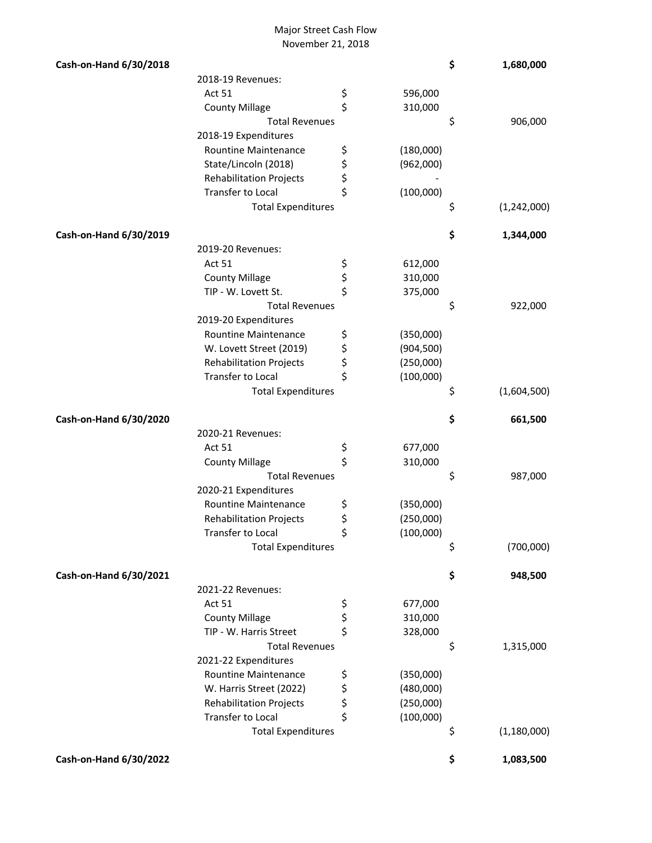## Major Street Cash Flow November 21, 2018

| Cash-on-Hand 6/30/2018 |                                |          |            | \$<br>1,680,000     |
|------------------------|--------------------------------|----------|------------|---------------------|
|                        | 2018-19 Revenues:              |          |            |                     |
|                        | Act 51                         | \$       | 596,000    |                     |
|                        | <b>County Millage</b>          | \$       | 310,000    |                     |
|                        | <b>Total Revenues</b>          |          |            | \$<br>906,000       |
|                        | 2018-19 Expenditures           |          |            |                     |
|                        | Rountine Maintenance           | \$       | (180,000)  |                     |
|                        | State/Lincoln (2018)           |          | (962,000)  |                     |
|                        | <b>Rehabilitation Projects</b> | \$<br>\$ |            |                     |
|                        | Transfer to Local              | \$       | (100,000)  |                     |
|                        | <b>Total Expenditures</b>      |          |            | \$<br>(1,242,000)   |
| Cash-on-Hand 6/30/2019 |                                |          |            |                     |
|                        |                                |          |            | \$<br>1,344,000     |
|                        | 2019-20 Revenues:<br>Act 51    |          |            |                     |
|                        |                                | \$       | 612,000    |                     |
|                        | <b>County Millage</b>          | \$<br>\$ | 310,000    |                     |
|                        | TIP - W. Lovett St.            |          | 375,000    |                     |
|                        | <b>Total Revenues</b>          |          |            | \$<br>922,000       |
|                        | 2019-20 Expenditures           |          |            |                     |
|                        | <b>Rountine Maintenance</b>    | \$       | (350,000)  |                     |
|                        | W. Lovett Street (2019)        | \$       | (904, 500) |                     |
|                        | <b>Rehabilitation Projects</b> | \$       | (250,000)  |                     |
|                        | Transfer to Local              | \$       | (100,000)  |                     |
|                        | <b>Total Expenditures</b>      |          |            | \$<br>(1,604,500)   |
| Cash-on-Hand 6/30/2020 |                                |          |            | \$<br>661,500       |
|                        | 2020-21 Revenues:              |          |            |                     |
|                        | Act 51                         | \$       | 677,000    |                     |
|                        | <b>County Millage</b>          | \$       | 310,000    |                     |
|                        | <b>Total Revenues</b>          |          |            | \$<br>987,000       |
|                        | 2020-21 Expenditures           |          |            |                     |
|                        | Rountine Maintenance           | \$       | (350,000)  |                     |
|                        | <b>Rehabilitation Projects</b> | \$       | (250,000)  |                     |
|                        | Transfer to Local              | \$       | (100,000)  |                     |
|                        | <b>Total Expenditures</b>      |          |            | \$<br>(700,000)     |
| Cash-on-Hand 6/30/2021 |                                |          |            | \$<br>948,500       |
|                        | 2021-22 Revenues:              |          |            |                     |
|                        | Act 51                         | \$       | 677,000    |                     |
|                        | <b>County Millage</b>          | \$       | 310,000    |                     |
|                        | TIP - W. Harris Street         | \$       | 328,000    |                     |
|                        | <b>Total Revenues</b>          |          |            | \$<br>1,315,000     |
|                        | 2021-22 Expenditures           |          |            |                     |
|                        | <b>Rountine Maintenance</b>    | \$       | (350,000)  |                     |
|                        | W. Harris Street (2022)        | \$       | (480,000)  |                     |
|                        | <b>Rehabilitation Projects</b> | \$       | (250,000)  |                     |
|                        | Transfer to Local              | \$       | (100,000)  |                     |
|                        |                                |          |            |                     |
|                        | <b>Total Expenditures</b>      |          |            | \$<br>(1, 180, 000) |
| Cash-on-Hand 6/30/2022 |                                |          |            | \$<br>1,083,500     |